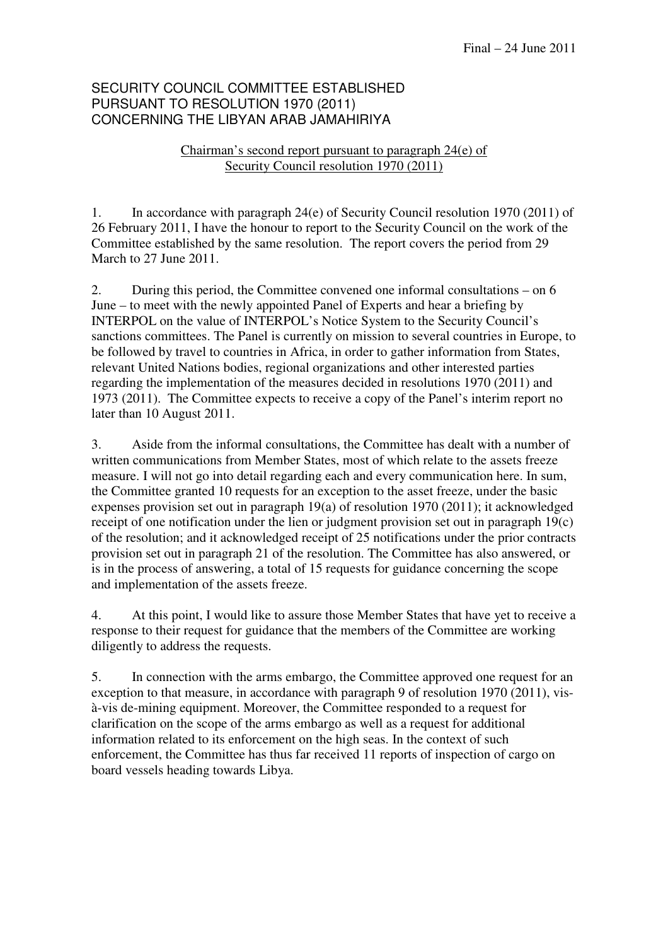## SECURITY COUNCIL COMMITTEE ESTABLISHED PURSUANT TO RESOLUTION 1970 (2011) CONCERNING THE LIBYAN ARAB JAMAHIRIYA

## Chairman's second report pursuant to paragraph 24(e) of Security Council resolution 1970 (2011)

1. In accordance with paragraph 24(e) of Security Council resolution 1970 (2011) of 26 February 2011, I have the honour to report to the Security Council on the work of the Committee established by the same resolution. The report covers the period from 29 March to 27 June 2011.

2. During this period, the Committee convened one informal consultations – on 6 June – to meet with the newly appointed Panel of Experts and hear a briefing by INTERPOL on the value of INTERPOL's Notice System to the Security Council's sanctions committees. The Panel is currently on mission to several countries in Europe, to be followed by travel to countries in Africa, in order to gather information from States, relevant United Nations bodies, regional organizations and other interested parties regarding the implementation of the measures decided in resolutions 1970 (2011) and 1973 (2011). The Committee expects to receive a copy of the Panel's interim report no later than 10 August 2011.

3. Aside from the informal consultations, the Committee has dealt with a number of written communications from Member States, most of which relate to the assets freeze measure. I will not go into detail regarding each and every communication here. In sum, the Committee granted 10 requests for an exception to the asset freeze, under the basic expenses provision set out in paragraph 19(a) of resolution 1970 (2011); it acknowledged receipt of one notification under the lien or judgment provision set out in paragraph 19(c) of the resolution; and it acknowledged receipt of 25 notifications under the prior contracts provision set out in paragraph 21 of the resolution. The Committee has also answered, or is in the process of answering, a total of 15 requests for guidance concerning the scope and implementation of the assets freeze.

4. At this point, I would like to assure those Member States that have yet to receive a response to their request for guidance that the members of the Committee are working diligently to address the requests.

5. In connection with the arms embargo, the Committee approved one request for an exception to that measure, in accordance with paragraph 9 of resolution 1970 (2011), visà-vis de-mining equipment. Moreover, the Committee responded to a request for clarification on the scope of the arms embargo as well as a request for additional information related to its enforcement on the high seas. In the context of such enforcement, the Committee has thus far received 11 reports of inspection of cargo on board vessels heading towards Libya.